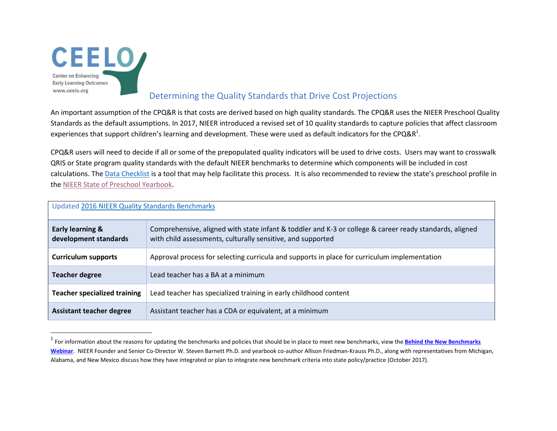

l

## Determining the Quality Standards that Drive Cost Projections

An important assumption of the CPQ&R is that costs are derived based on high quality standards. The CPQ&R uses the NIEER Preschool Quality Standards as the default assumptions. In 2017, NIEER introduced a revised set of 10 quality standards to capture policies that affect classroom experiences that support children's learning and development. These were used as default indicators for the CPQ&R<sup>1</sup>.

CPQ&R users will need to decide if all or some of the prepopulated quality indicators will be used to drive costs. Users may want to crosswalk QRIS or State program quality standards with the default NIEER benchmarks to determine which components will be included in cost calculations. The [Data Checklist](http://ceelo.org/cost-of-preschool-quality-tool/) is a tool that may help facilitate this process. It is also recommended to review the state's preschool profile in the [NIEER State of Preschool Yearbook.](http://nieer.org/state-preschool-yearbooks/yearbook2016#profiles)

| Updated 2016 NIEER Quality Standards Benchmarks      |                                                                                                                                                                        |
|------------------------------------------------------|------------------------------------------------------------------------------------------------------------------------------------------------------------------------|
| <b>Early learning &amp;</b><br>development standards | Comprehensive, aligned with state infant & toddler and K-3 or college & career ready standards, aligned<br>with child assessments, culturally sensitive, and supported |
| <b>Curriculum supports</b>                           | Approval process for selecting curricula and supports in place for curriculum implementation                                                                           |
| <b>Teacher degree</b>                                | Lead teacher has a BA at a minimum                                                                                                                                     |
| <b>Teacher specialized training</b>                  | Lead teacher has specialized training in early childhood content                                                                                                       |
| <b>Assistant teacher degree</b>                      | Assistant teacher has a CDA or equivalent, at a minimum                                                                                                                |

<sup>&</sup>lt;sup>1</sup> For information about the reasons for updating the benchmarks and policies that should be in place to meet new benchmarks, view the **Behind the New Benchmarks [Webinar](http://nieer.org/video-webinar/behind-benchmarks-webinar)**. NIEER Founder and Senior Co-Director W. Steven Barnett Ph.D. and yearbook co-author Allison Friedman-Krauss Ph.D., along with representatives from Michigan, Alabama, and New Mexico discuss how they have integrated or plan to integrate new benchmark criteria into state policy/practice (October 2017).